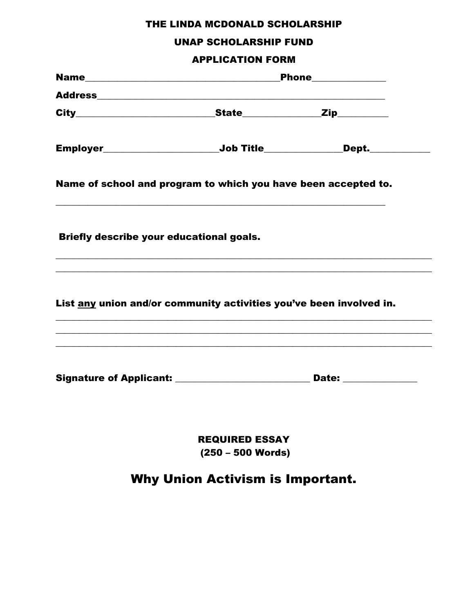## THE LINDA MCDONALD SCHOLARSHIP

### **UNAP SCHOLARSHIP FUND**

#### **APPLICATION FORM**

|                                                                                  | Phone_____________                           |                                                                                   |
|----------------------------------------------------------------------------------|----------------------------------------------|-----------------------------------------------------------------------------------|
|                                                                                  |                                              |                                                                                   |
|                                                                                  |                                              |                                                                                   |
| Employer___________________________Job Title________________Dept.______________  |                                              |                                                                                   |
| Name of school and program to which you have been accepted to.                   |                                              |                                                                                   |
| Briefly describe your educational goals.                                         |                                              | ,我们也不能在这里的时候,我们也不能在这里的时候,我们也不能在这里的时候,我们也不能会在这里的时候,我们也不能会在这里的时候,我们也不能会在这里的时候,我们也不能 |
| List any union and/or community activities you've been involved in.              |                                              |                                                                                   |
| Signature of Applicant: __________________________________ Date: _______________ |                                              |                                                                                   |
|                                                                                  | <b>REQUIRED ESSAY</b><br>$(250 - 500$ Words) |                                                                                   |
|                                                                                  | <b>Why Union Activism is Important.</b>      |                                                                                   |